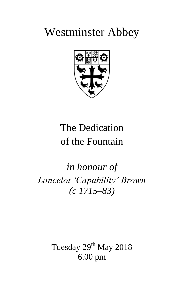# Westminster Abbey



# The Dedication of the Fountain

*in honour of Lancelot 'Capability' Brown (c 1715–83)*

> Tuesday 29<sup>th</sup> May 2018 6.00 pm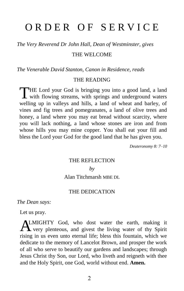## ORDER OF SERVICE

*The Very Reverend Dr John Hall, Dean of Westminster, gives*

#### THE WELCOME

*The Venerable David Stanton, Canon in Residence, reads*

#### THE READING

THE Lord your God is bringing you into a good land, a land<br>with flowing streams, with springs and underground waters I with flowing streams, with springs and underground waters welling up in valleys and hills, a land of wheat and barley, of vines and fig trees and pomegranates, a land of olive trees and honey, a land where you may eat bread without scarcity, where you will lack nothing, a land whose stones are iron and from whose hills you may mine copper. You shall eat your fill and bless the Lord your God for the good land that he has given you.

*Deuteronomy 8: 7–10*

#### THE REFLECTION

#### *by*

Alan Titchmarsh MBE DL

#### THE DEDICATION

*The Dean says:*

Let us pray.

ALMIGHTY God, who dost water the earth, making it very plenteous, and givest the living water of thy Spirit **L** very plenteous, and givest the living water of thy Spirit rising in us even unto eternal life; bless this fountain, which we dedicate to the memory of Lancelot Brown, and prosper the work of all who serve to beautify our gardens and landscapes; through Jesus Christ thy Son, our Lord, who liveth and reigneth with thee and the Holy Spirit, one God, world without end. **Amen.**